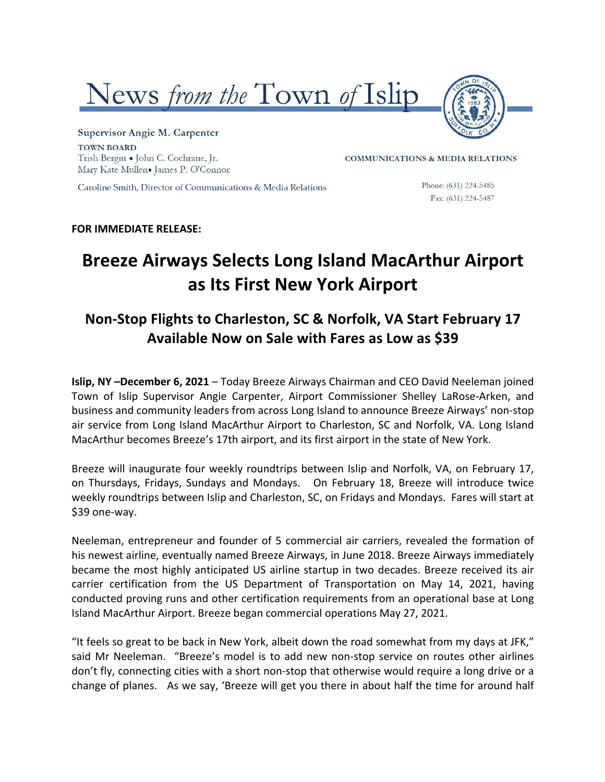



Supervisor Angie M. Carpenter **TOWN BOARD** Trish Bergin . John C. Cochrane, Jr. Mary Kate Mullen. James P. O'Connor

**COMMUNICATIONS & MEDIA RELATIONS** 

Caroline Smith, Director of Communications & Media Relations

Phone: (631) 224-5485 Fax: (631) 224-5487

### **FOR IMMEDIATE RELEASE:**

# **Breeze Airways Selects Long Island MacArthur Airport as Its First New York Airport**

## **Non-Stop Flights to Charleston, SC & Norfolk, VA Start February 17** Available Now on Sale with Fares as Low as \$39

**Islip, NY** -December 6, 2021 – Today Breeze Airways Chairman and CEO David Neeleman joined Town of Islip Supervisor Angie Carpenter, Airport Commissioner Shelley LaRose-Arken, and business and community leaders from across Long Island to announce Breeze Airways' non-stop air service from Long Island MacArthur Airport to Charleston, SC and Norfolk, VA. Long Island MacArthur becomes Breeze's 17th airport, and its first airport in the state of New York.

Breeze will inaugurate four weekly roundtrips between Islip and Norfolk, VA, on February 17, on Thursdays, Fridays, Sundays and Mondays. On February 18, Breeze will introduce twice weekly roundtrips between Islip and Charleston, SC, on Fridays and Mondays. Fares will start at \$39 one-way.

Neeleman, entrepreneur and founder of 5 commercial air carriers, revealed the formation of his newest airline, eventually named Breeze Airways, in June 2018. Breeze Airways immediately became the most highly anticipated US airline startup in two decades. Breeze received its air carrier certification from the US Department of Transportation on May 14, 2021, having conducted proving runs and other certification requirements from an operational base at Long Island MacArthur Airport. Breeze began commercial operations May 27, 2021.

"It feels so great to be back in New York, albeit down the road somewhat from my days at JFK," said Mr Neeleman. "Breeze's model is to add new non-stop service on routes other airlines don't fly, connecting cities with a short non-stop that otherwise would require a long drive or a change of planes. As we say, 'Breeze will get you there in about half the time for around half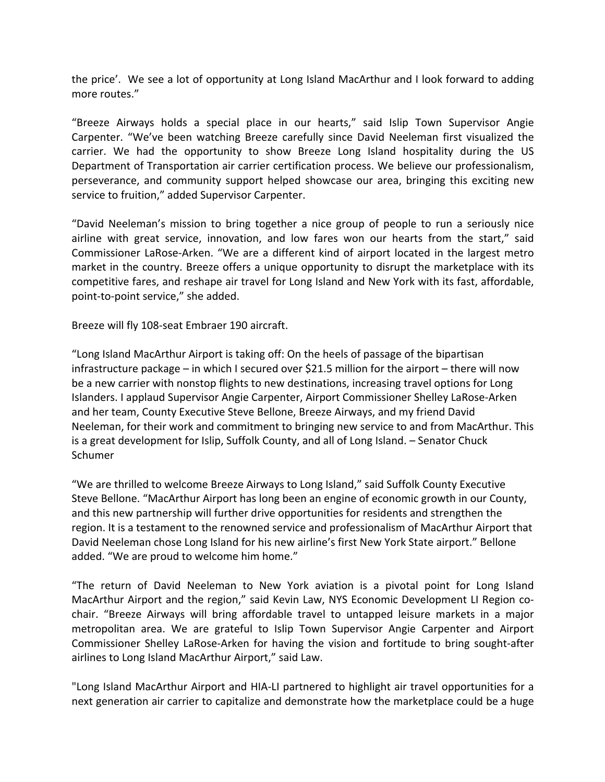the price'. We see a lot of opportunity at Long Island MacArthur and I look forward to adding more routes."

"Breeze Airways holds a special place in our hearts," said Islip Town Supervisor Angie Carpenter. "We've been watching Breeze carefully since David Neeleman first visualized the carrier. We had the opportunity to show Breeze Long Island hospitality during the US Department of Transportation air carrier certification process. We believe our professionalism, perseverance, and community support helped showcase our area, bringing this exciting new service to fruition," added Supervisor Carpenter.

"David Neeleman's mission to bring together a nice group of people to run a seriously nice airline with great service, innovation, and low fares won our hearts from the start," said Commissioner LaRose-Arken. "We are a different kind of airport located in the largest metro market in the country. Breeze offers a unique opportunity to disrupt the marketplace with its competitive fares, and reshape air travel for Long Island and New York with its fast, affordable, point-to-point service," she added.

Breeze will fly 108-seat Embraer 190 aircraft.

"Long Island MacArthur Airport is taking off: On the heels of passage of the bipartisan infrastructure package  $-$  in which I secured over \$21.5 million for the airport  $-$  there will now be a new carrier with nonstop flights to new destinations, increasing travel options for Long Islanders. I applaud Supervisor Angie Carpenter, Airport Commissioner Shelley LaRose-Arken and her team, County Executive Steve Bellone, Breeze Airways, and my friend David Neeleman, for their work and commitment to bringing new service to and from MacArthur. This is a great development for Islip, Suffolk County, and all of Long Island. - Senator Chuck Schumer 

"We are thrilled to welcome Breeze Airways to Long Island," said Suffolk County Executive Steve Bellone. "MacArthur Airport has long been an engine of economic growth in our County, and this new partnership will further drive opportunities for residents and strengthen the region. It is a testament to the renowned service and professionalism of MacArthur Airport that David Neeleman chose Long Island for his new airline's first New York State airport." Bellone added. "We are proud to welcome him home."

"The return of David Neeleman to New York aviation is a pivotal point for Long Island MacArthur Airport and the region," said Kevin Law, NYS Economic Development LI Region cochair. "Breeze Airways will bring affordable travel to untapped leisure markets in a major metropolitan area. We are grateful to Islip Town Supervisor Angie Carpenter and Airport Commissioner Shelley LaRose-Arken for having the vision and fortitude to bring sought-after airlines to Long Island MacArthur Airport," said Law.

"Long Island MacArthur Airport and HIA-LI partnered to highlight air travel opportunities for a next generation air carrier to capitalize and demonstrate how the marketplace could be a huge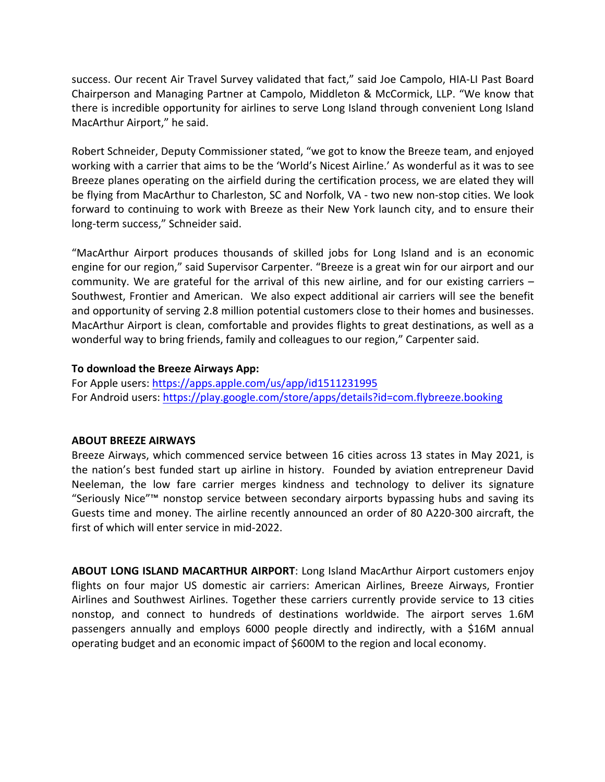success. Our recent Air Travel Survey validated that fact," said Joe Campolo, HIA-LI Past Board Chairperson and Managing Partner at Campolo, Middleton & McCormick, LLP. "We know that there is incredible opportunity for airlines to serve Long Island through convenient Long Island MacArthur Airport," he said.

Robert Schneider, Deputy Commissioner stated, "we got to know the Breeze team, and enjoyed working with a carrier that aims to be the 'World's Nicest Airline.' As wonderful as it was to see Breeze planes operating on the airfield during the certification process, we are elated they will be flying from MacArthur to Charleston, SC and Norfolk, VA - two new non-stop cities. We look forward to continuing to work with Breeze as their New York launch city, and to ensure their long-term success," Schneider said.

"MacArthur Airport produces thousands of skilled jobs for Long Island and is an economic engine for our region," said Supervisor Carpenter. "Breeze is a great win for our airport and our community. We are grateful for the arrival of this new airline, and for our existing carriers  $-$ Southwest, Frontier and American. We also expect additional air carriers will see the benefit and opportunity of serving 2.8 million potential customers close to their homes and businesses. MacArthur Airport is clean, comfortable and provides flights to great destinations, as well as a wonderful way to bring friends, family and colleagues to our region," Carpenter said.

### To download the Breeze Airways App:

For Apple users: https://apps.apple.com/us/app/id1511231995 For Android users: https://play.google.com/store/apps/details?id=com.flybreeze.booking

#### **ABOUT BREEZE AIRWAYS**

Breeze Airways, which commenced service between 16 cities across 13 states in May 2021, is the nation's best funded start up airline in history. Founded by aviation entrepreneur David Neeleman, the low fare carrier merges kindness and technology to deliver its signature "Seriously Nice"<sup>™</sup> nonstop service between secondary airports bypassing hubs and saving its Guests time and money. The airline recently announced an order of 80 A220-300 aircraft, the first of which will enter service in mid-2022.

**ABOUT LONG ISLAND MACARTHUR AIRPORT:** Long Island MacArthur Airport customers enjoy flights on four major US domestic air carriers: American Airlines, Breeze Airways, Frontier Airlines and Southwest Airlines. Together these carriers currently provide service to 13 cities nonstop, and connect to hundreds of destinations worldwide. The airport serves 1.6M passengers annually and employs 6000 people directly and indirectly, with a \$16M annual operating budget and an economic impact of \$600M to the region and local economy.